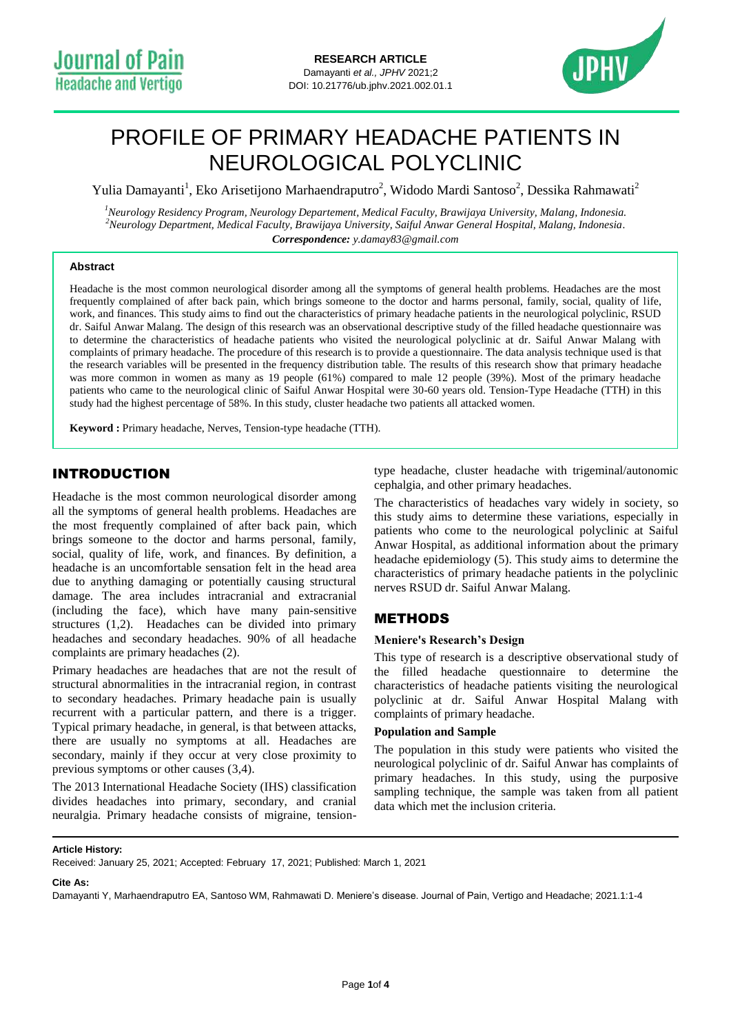

# PROFILE OF PRIMARY HEADACHE PATIENTS IN NEUROLOGICAL POLYCLINIC

Yulia Damayanti<sup>1</sup>, Eko Arisetijono Marhaendraputro<sup>2</sup>, Widodo Mardi Santoso<sup>2</sup>, Dessika Rahmawati<sup>2</sup>

*<sup>1</sup>Neurology Residency Program, Neurology Departement, Medical Faculty, Brawijaya University, Malang, Indonesia. <sup>2</sup>Neurology Department, Medical Faculty, Brawijaya University, Saiful Anwar General Hospital, Malang, Indonesia. Correspondence: y.damay83@gmail.com*

## **Abstract**

Headache is the most common neurological disorder among all the symptoms of general health problems. Headaches are the most frequently complained of after back pain, which brings someone to the doctor and harms personal, family, social, quality of life, work, and finances. This study aims to find out the characteristics of primary headache patients in the neurological polyclinic, RSUD dr. Saiful Anwar Malang. The design of this research was an observational descriptive study of the filled headache questionnaire was to determine the characteristics of headache patients who visited the neurological polyclinic at dr. Saiful Anwar Malang with complaints of primary headache. The procedure of this research is to provide a questionnaire. The data analysis technique used is that the research variables will be presented in the frequency distribution table. The results of this research show that primary headache was more common in women as many as 19 people (61%) compared to male 12 people (39%). Most of the primary headache patients who came to the neurological clinic of Saiful Anwar Hospital were 30-60 years old. Tension-Type Headache (TTH) in this study had the highest percentage of 58%. In this study, cluster headache two patients all attacked women.

**Keyword :** Primary headache, Nerves, Tension-type headache (TTH).

# INTRODUCTION

Headache is the most common neurological disorder among all the symptoms of general health problems. Headaches are the most frequently complained of after back pain, which brings someone to the doctor and harms personal, family, social, quality of life, work, and finances. By definition, a headache is an uncomfortable sensation felt in the head area due to anything damaging or potentially causing structural damage. The area includes intracranial and extracranial (including the face), which have many pain-sensitive structures (1,2). Headaches can be divided into primary headaches and secondary headaches. 90% of all headache complaints are primary headaches (2).

Primary headaches are headaches that are not the result of structural abnormalities in the intracranial region, in contrast to secondary headaches. Primary headache pain is usually recurrent with a particular pattern, and there is a trigger. Typical primary headache, in general, is that between attacks, there are usually no symptoms at all. Headaches are secondary, mainly if they occur at very close proximity to previous symptoms or other causes (3,4).

The 2013 International Headache Society (IHS) classification divides headaches into primary, secondary, and cranial neuralgia. Primary headache consists of migraine, tensiontype headache, cluster headache with trigeminal/autonomic cephalgia, and other primary headaches.

The characteristics of headaches vary widely in society, so this study aims to determine these variations, especially in patients who come to the neurological polyclinic at Saiful Anwar Hospital, as additional information about the primary headache epidemiology (5). This study aims to determine the characteristics of primary headache patients in the polyclinic nerves RSUD dr. Saiful Anwar Malang.

## **METHODS**

#### **Meniere's Research's Design**

This type of research is a descriptive observational study of the filled headache questionnaire to determine the characteristics of headache patients visiting the neurological polyclinic at dr. Saiful Anwar Hospital Malang with complaints of primary headache.

## **Population and Sample**

The population in this study were patients who visited the neurological polyclinic of dr. Saiful Anwar has complaints of primary headaches. In this study, using the purposive sampling technique, the sample was taken from all patient data which met the inclusion criteria.

#### **Article History:**

Received: January 25, 2021; Accepted: February 17, 2021; Published: March 1, 2021

#### **Cite As:**

Damayanti Y, Marhaendraputro EA, Santoso WM, Rahmawati D. Meniere's disease. Journal of Pain, Vertigo and Headache; 2021.1:1-4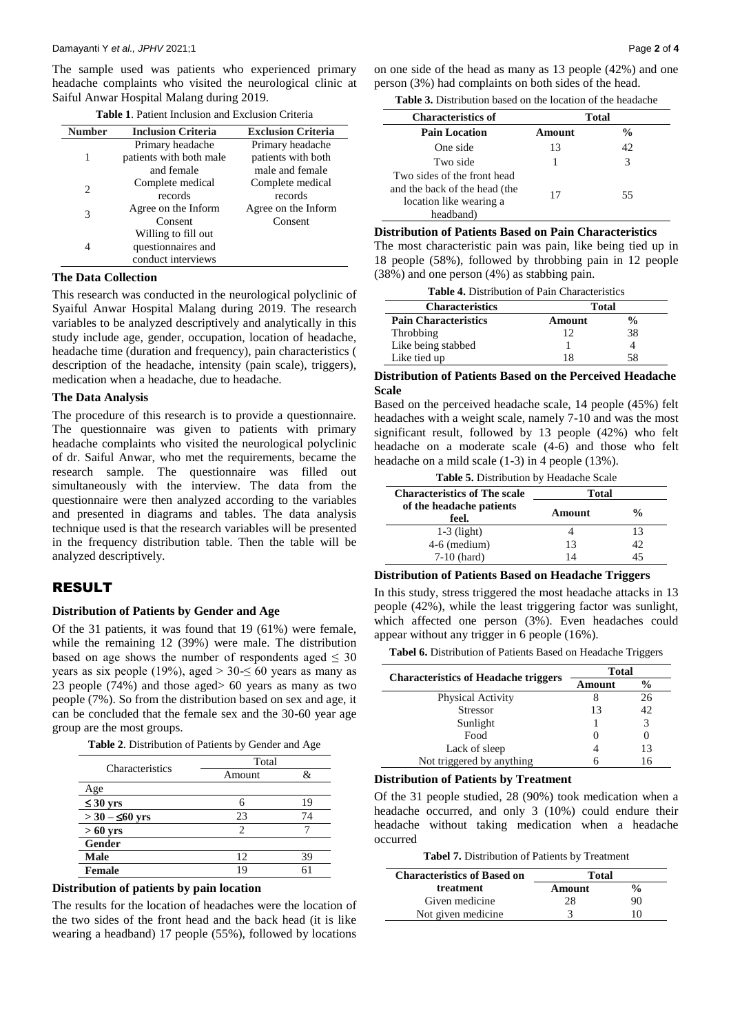The sample used was patients who experienced primary headache complaints who visited the neurological clinic at Saiful Anwar Hospital Malang during 2019.

| Number | <b>Inclusion Criteria</b> | <b>Exclusion Criteria</b> |
|--------|---------------------------|---------------------------|
|        | Primary headache          | Primary headache          |
| 1      | patients with both male   | patients with both        |
|        | and female                | male and female           |
| 2      | Complete medical          | Complete medical          |
|        | records                   | records                   |
| 3      | Agree on the Inform       | Agree on the Inform       |
|        | Consent                   | Consent                   |
|        | Willing to fill out       |                           |
| 4      | questionnaires and        |                           |
|        | conduct interviews        |                           |

**Table 1**. Patient Inclusion and Exclusion Criteria

#### **The Data Collection**

This research was conducted in the neurological polyclinic of Syaiful Anwar Hospital Malang during 2019. The research variables to be analyzed descriptively and analytically in this study include age, gender, occupation, location of headache, headache time (duration and frequency), pain characteristics ( description of the headache, intensity (pain scale), triggers), medication when a headache, due to headache.

### **The Data Analysis**

The procedure of this research is to provide a questionnaire. The questionnaire was given to patients with primary headache complaints who visited the neurological polyclinic of dr. Saiful Anwar, who met the requirements, became the research sample. The questionnaire was filled out simultaneously with the interview. The data from the questionnaire were then analyzed according to the variables and presented in diagrams and tables. The data analysis technique used is that the research variables will be presented in the frequency distribution table. Then the table will be analyzed descriptively.

## RESULT

#### **Distribution of Patients by Gender and Age**

Of the 31 patients, it was found that 19 (61%) were female, while the remaining 12 (39%) were male. The distribution based on age shows the number of respondents aged  $\leq 30$ years as six people (19%), aged  $> 30 \le 60$  years as many as 23 people (74%) and those aged> 60 years as many as two people (7%). So from the distribution based on sex and age, it can be concluded that the female sex and the 30-60 year age group are the most groups.

**Table 2**. Distribution of Patients by Gender and Age

| Characteristics        | Total  |    |  |
|------------------------|--------|----|--|
|                        | Amount |    |  |
| Age                    |        |    |  |
| $\leq 30$ yrs          | 6      | 19 |  |
| $>$ 30 – $\leq 60$ yrs | 23     | 74 |  |
| $>60$ yrs              |        |    |  |
| Gender                 |        |    |  |
| <b>Male</b>            | 12     | ٩q |  |
| <b>Female</b>          | 1 Q    |    |  |

#### **Distribution of patients by pain location**

The results for the location of headaches were the location of the two sides of the front head and the back head (it is like wearing a headband) 17 people (55%), followed by locations

on one side of the head as many as 13 people (42%) and one person (3%) had complaints on both sides of the head.

**Table 3.** Distribution based on the location of the headache

| <b>Characteristics of</b>                                                                            | Total  |               |  |
|------------------------------------------------------------------------------------------------------|--------|---------------|--|
| <b>Pain Location</b>                                                                                 | Amount | $\frac{0}{0}$ |  |
| One side                                                                                             | 13     | 42            |  |
| Two side                                                                                             |        | 3             |  |
| Two sides of the front head<br>and the back of the head (the<br>location like wearing a<br>headband) | 17     | 55            |  |

**Distribution of Patients Based on Pain Characteristics** The most characteristic pain was pain, like being tied up in 18 people (58%), followed by throbbing pain in 12 people (38%) and one person (4%) as stabbing pain.

| <b>Table 4.</b> Distribution of Pain Characteristics |        |               |  |
|------------------------------------------------------|--------|---------------|--|
| <b>Characteristics</b><br>Total                      |        |               |  |
| <b>Pain Characteristics</b>                          | Amount | $\frac{0}{0}$ |  |
| Throbbing                                            | 12     | 38            |  |
| Like being stabbed                                   |        |               |  |
| Like tied up                                         | 18     |               |  |

## **Distribution of Patients Based on the Perceived Headache Scale**

Based on the perceived headache scale, 14 people (45%) felt headaches with a weight scale, namely 7-10 and was the most significant result, followed by 13 people (42%) who felt headache on a moderate scale (4-6) and those who felt headache on a mild scale (1-3) in 4 people (13%).

**Table 5.** Distribution by Headache Scale

| <b>Characteristics of The scale</b> | <b>Total</b> |               |
|-------------------------------------|--------------|---------------|
| of the headache patients<br>feel.   | Amount       | $\frac{0}{0}$ |
| $1-3$ (light)                       |              | 13            |
| $4-6$ (medium)                      | 13           | 42            |
| $7-10$ (hard)                       | 14           |               |

#### **Distribution of Patients Based on Headache Triggers**

In this study, stress triggered the most headache attacks in 13 people (42%), while the least triggering factor was sunlight, which affected one person (3%). Even headaches could appear without any trigger in 6 people (16%).

**Tabel 6.** Distribution of Patients Based on Headache Triggers

| <b>Characteristics of Headache triggers</b> | <b>Total</b> |    |
|---------------------------------------------|--------------|----|
|                                             | Amount       | %  |
| Physical Activity                           |              | 26 |
| <b>Stressor</b>                             | 13           | 42 |
| Sunlight                                    |              | 3  |
| Food                                        | $\mathbf{O}$ |    |
| Lack of sleep                               |              | 13 |
| Not triggered by anything                   |              | 16 |

**Distribution of Patients by Treatment**

Of the 31 people studied, 28 (90%) took medication when a headache occurred, and only 3 (10%) could endure their headache without taking medication when a headache occurred

**Tabel 7.** Distribution of Patients by Treatment

| <b>Characteristics of Based on</b> | <b>Total</b> |               |
|------------------------------------|--------------|---------------|
| treatment                          | Amount       | $\frac{0}{0}$ |
| Given medicine                     | 28           | 90            |
| Not given medicine                 |              | 10            |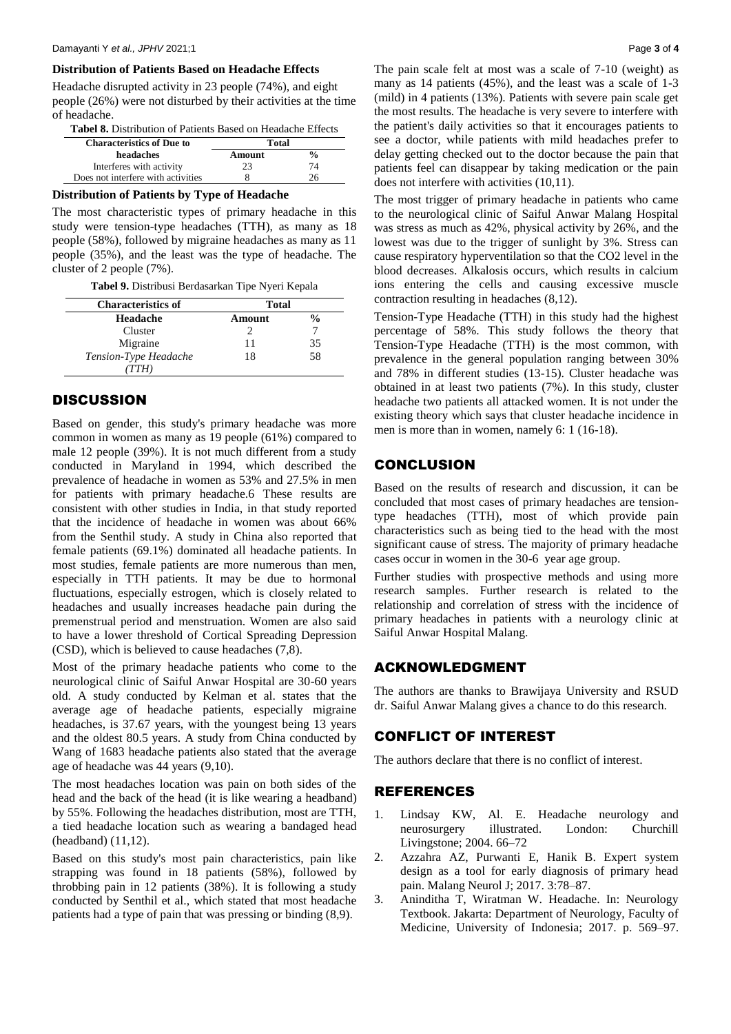#### **Distribution of Patients Based on Headache Effects**

Headache disrupted activity in 23 people (74%), and eight people (26%) were not disturbed by their activities at the time of headache.

| <b>Tabel 8.</b> Distribution of Patients Based on Headache Effects |  |  |
|--------------------------------------------------------------------|--|--|
|--------------------------------------------------------------------|--|--|

| <b>Characteristics of Due to</b>   | Total  |               |
|------------------------------------|--------|---------------|
| headaches                          | Amount | $\frac{6}{9}$ |
| Interferes with activity           | 23     | 74            |
| Does not interfere with activities |        |               |

# **Distribution of Patients by Type of Headache**

The most characteristic types of primary headache in this study were tension-type headaches (TTH), as many as 18 people (58%), followed by migraine headaches as many as 11 people (35%), and the least was the type of headache. The cluster of 2 people (7%).

**Tabel 9.** Distribusi Berdasarkan Tipe Nyeri Kepala

| <b>Characteristics of</b> | <b>Total</b> |               |
|---------------------------|--------------|---------------|
| Headache                  | Amount       | $\frac{0}{0}$ |
| Cluster                   |              |               |
| Migraine                  |              | 35            |
| Tension-Type Headache     | 18           | 58            |
|                           |              |               |

## **DISCUSSION**

Based on gender, this study's primary headache was more common in women as many as 19 people (61%) compared to male 12 people (39%). It is not much different from a study conducted in Maryland in 1994, which described the prevalence of headache in women as 53% and 27.5% in men for patients with primary headache.6 These results are consistent with other studies in India, in that study reported that the incidence of headache in women was about 66% from the Senthil study. A study in China also reported that female patients (69.1%) dominated all headache patients. In most studies, female patients are more numerous than men, especially in TTH patients. It may be due to hormonal fluctuations, especially estrogen, which is closely related to headaches and usually increases headache pain during the premenstrual period and menstruation. Women are also said to have a lower threshold of Cortical Spreading Depression (CSD), which is believed to cause headaches (7,8).

Most of the primary headache patients who come to the neurological clinic of Saiful Anwar Hospital are 30-60 years old. A study conducted by Kelman et al. states that the average age of headache patients, especially migraine headaches, is 37.67 years, with the youngest being 13 years and the oldest 80.5 years. A study from China conducted by Wang of 1683 headache patients also stated that the average age of headache was 44 years (9,10).

The most headaches location was pain on both sides of the head and the back of the head (it is like wearing a headband) by 55%. Following the headaches distribution, most are TTH, a tied headache location such as wearing a bandaged head (headband) (11,12).

Based on this study's most pain characteristics, pain like strapping was found in 18 patients (58%), followed by throbbing pain in 12 patients (38%). It is following a study conducted by Senthil et al., which stated that most headache patients had a type of pain that was pressing or binding (8,9).

The pain scale felt at most was a scale of 7-10 (weight) as many as 14 patients (45%), and the least was a scale of 1-3 (mild) in 4 patients (13%). Patients with severe pain scale get the most results. The headache is very severe to interfere with the patient's daily activities so that it encourages patients to see a doctor, while patients with mild headaches prefer to delay getting checked out to the doctor because the pain that patients feel can disappear by taking medication or the pain does not interfere with activities (10,11).

The most trigger of primary headache in patients who came to the neurological clinic of Saiful Anwar Malang Hospital was stress as much as 42%, physical activity by 26%, and the lowest was due to the trigger of sunlight by 3%. Stress can cause respiratory hyperventilation so that the CO2 level in the blood decreases. Alkalosis occurs, which results in calcium ions entering the cells and causing excessive muscle contraction resulting in headaches (8,12).

Tension-Type Headache (TTH) in this study had the highest percentage of 58%. This study follows the theory that Tension-Type Headache (TTH) is the most common, with prevalence in the general population ranging between 30% and 78% in different studies (13-15). Cluster headache was obtained in at least two patients (7%). In this study, cluster headache two patients all attacked women. It is not under the existing theory which says that cluster headache incidence in men is more than in women, namely 6: 1 (16-18).

# **CONCLUSION**

Based on the results of research and discussion, it can be concluded that most cases of primary headaches are tensiontype headaches (TTH), most of which provide pain characteristics such as being tied to the head with the most significant cause of stress. The majority of primary headache cases occur in women in the 30-6 year age group.

Further studies with prospective methods and using more research samples. Further research is related to the relationship and correlation of stress with the incidence of primary headaches in patients with a neurology clinic at Saiful Anwar Hospital Malang.

## ACKNOWLEDGMENT

The authors are thanks to Brawijaya University and RSUD dr. Saiful Anwar Malang gives a chance to do this research.

# CONFLICT OF INTEREST

The authors declare that there is no conflict of interest.

## REFERENCES

- 1. Lindsay KW, Al. E. Headache neurology and neurosurgery illustrated. London: Churchill Livingstone; 2004. 66–72
- 2. Azzahra AZ, Purwanti E, Hanik B. Expert system design as a tool for early diagnosis of primary head pain. Malang Neurol J; 2017. 3:78–87.
- 3. Aninditha T, Wiratman W. Headache. In: Neurology Textbook. Jakarta: Department of Neurology, Faculty of Medicine, University of Indonesia; 2017. p. 569–97.